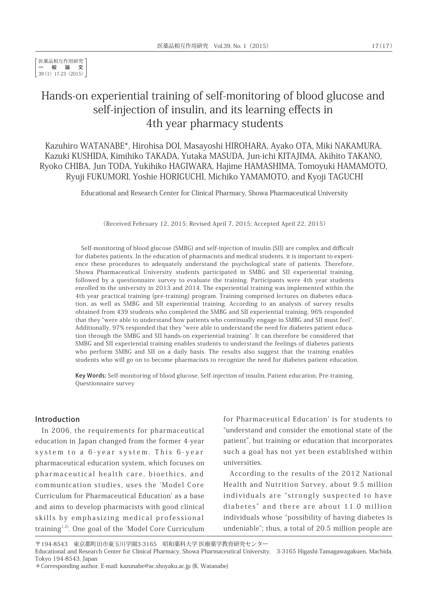医薬品相互作用研究 一般論文 39(1) 17-23 (2015)

# Hands-on experiential training of self-monitoring of blood glucose and self-injection of insulin, and its learning effects in 4th year pharmacy students

Kazuhiro WATANABE\*, Hirohisa DOI, Masayoshi HIROHARA, Ayako OTA, Miki NAKAMURA, Kazuki KUSHIDA, Kimihiko TAKADA, Yutaka MASUDA, Jun-ichi KITAJIMA, Akihito TAKANO, Ryoko CHIBA, Jun TODA, Yukihiko HAGIWARA, Hajime HAMASHIMA, Tomoyuki HAMAMOTO, Ryuji FUKUMORI, Yoshie HORIGUCHI, Michiko YAMAMOTO, and Kyoji TAGUCHI

Educational and Research Center for Clinical Pharmacy, Showa Pharmaceutical University

(Received February 12, 2015; Revised April 7, 2015; Accepted April 22, 2015)

Self-monitoring of blood glucose (SMBG) and self-injection of insulin (SII) are complex and difficult for diabetes patients. In the education of pharmacists and medical students, it is important to experience these procedures to adequately understand the psychological state of patients. Therefore, Showa Pharmaceutical University students participated in SMBG and SII experiential training, followed by a questionnaire survey to evaluate the training. Participants were 4th year students enrolled in the university in 2013 and 2014. The experiential training was implemented within the 4th year practical training (pre-training) program. Training comprised lectures on diabetes education, as well as SMBG and SII experiential training. According to an analysis of survey results obtained from 439 students who completed the SMBG and SII experiential training, 96% responded that they "were able to understand how patients who continually engage in SMBG and SII must feel". Additionally, 97% responded that they "were able to understand the need for diabetes patient education through the SMBG and SII hands-on experiential training". It can therefore be considered that SMBG and SII experiential training enables students to understand the feelings of diabetes patients who perform SMBG and SII on a daily basis. The results also suggest that the training enables students who will go on to become pharmacists to recognize the need for diabetes patient education.

Key Words: Self-monitoring of blood glucose, Self-injection of insulin, Patient education, Pre-training, Questionnaire survey

#### Introduction

In 2006, the requirements for pharmaceutical education in Japan changed from the former 4-year system to a 6-year system. This 6-year pharmaceutical education system, which focuses on pharmaceutical health care, bioethics, and communication studies, uses the 'Model Core Curriculum for Pharmaceutical Education' as a base and aims to develop pharmacists with good clinical skills by emphasizing medical professional training1,2). One goal of the 'Model Core Curriculum for Pharmaceutical Education' is for students to "understand and consider the emotional state of the patient", but training or education that incorporates such a goal has not yet been established within universities.

According to the results of the 2012 National Health and Nutrition Survey, about 9.5 million individuals are "strongly suspected to have diabetes" and there are about 11.0 million individuals whose "possibility of having diabetes is undeniable"; thus, a total of 20.5 million people are

〒194-8543 東京都町田市東玉川学園3-3165 昭和薬科大学 医療薬学教育研究センター

Educational and Research Center for Clinical Pharmacy, Showa Pharmaceutical University, 3-3165 Higashi-Tamagawagakuen, Machida, Tokyo 194-8543, Japan

<sup>\*</sup>Corresponding author, E-mail: kazunabe@ac.shoyaku.ac.jp (K. Watanabe)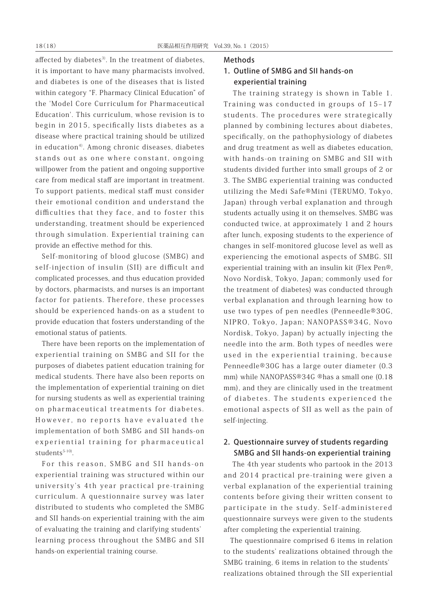affected by diabetes<sup>3</sup>. In the treatment of diabetes, it is important to have many pharmacists involved, and diabetes is one of the diseases that is listed within category "F. Pharmacy Clinical Education" of the 'Model Core Curriculum for Pharmaceutical Education'. This curriculum, whose revision is to begin in 2015, specifically lists diabetes as a disease where practical training should be utilized in education<sup>4)</sup>. Among chronic diseases, diabetes stands out as one where constant, ongoing willpower from the patient and ongoing supportive care from medical staff are important in treatment. To support patients, medical staff must consider their emotional condition and understand the difficulties that they face, and to foster this understanding, treatment should be experienced through simulation. Experiential training can provide an effective method for this.

Self-monitoring of blood glucose (SMBG) and self-injection of insulin (SII) are difficult and complicated processes, and thus education provided by doctors, pharmacists, and nurses is an important factor for patients. Therefore, these processes should be experienced hands-on as a student to provide education that fosters understanding of the emotional status of patients.

There have been reports on the implementation of experiential training on SMBG and SII for the purposes of diabetes patient education training for medical students. There have also been reports on the implementation of experiential training on diet for nursing students as well as experiential training on pharmaceutical treatments for diabetes. However, no reports have evaluated the implementation of both SMBG and SII hands-on experiential training for pharmaceutical  $students<sup>5-10</sup>$ .

For this reason, SMBG and SII hands-on experiential training was structured within our university's 4th year practical pre-training curriculum. A questionnaire survey was later distributed to students who completed the SMBG and SII hands-on experiential training with the aim of evaluating the training and clarifying students' learning process throughout the SMBG and SII hands-on experiential training course.

#### **Methods**

# 1. Outline of SMBG and SII hands-on experiential training

 The training strategy is shown in Table 1. Training was conducted in groups of  $15-17$ students. The procedures were strategically planned by combining lectures about diabetes, specifically, on the pathophysiology of diabetes and drug treatment as well as diabetes education, with hands-on training on SMBG and SII with students divided further into small groups of 2 or 3. The SMBG experiential training was conducted utilizing the Medi Safe®Mini (TERUMO, Tokyo, Japan) through verbal explanation and through students actually using it on themselves. SMBG was conducted twice, at approximately 1 and 2 hours after lunch, exposing students to the experience of changes in self-monitored glucose level as well as experiencing the emotional aspects of SMBG. SII experiential training with an insulin kit (Flex Pen®, Novo Nordisk, Tokyo, Japan; commonly used for the treatment of diabetes) was conducted through verbal explanation and through learning how to use two types of pen needles (Penneedle®30G, NIPRO, Tokyo, Japan; NANOPASS®34G, Novo Nordisk, Tokyo, Japan) by actually injecting the needle into the arm. Both types of needles were used in the experiential training, because Penneedle®30G has a large outer diameter (0.3 mm) while NANOPASS®34G ®has a small one (0.18 mm), and they are clinically used in the treatment of diabetes. The students experienced the emotional aspects of SII as well as the pain of self-injecting.

### 2. Questionnaire survey of students regarding SMBG and SII hands-on experiential training

 The 4th year students who partook in the 2013 and 2014 practical pre-training were given a verbal explanation of the experiential training contents before giving their written consent to participate in the study. Self-administered questionnaire surveys were given to the students after completing the experiential training.

The questionnaire comprised 6 items in relation to the students' realizations obtained through the SMBG training, 6 items in relation to the students' realizations obtained through the SII experiential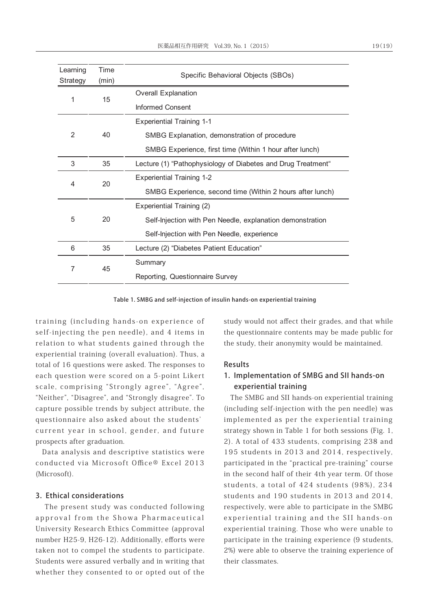| Time<br>(min) | Specific Behavioral Objects (SBOs)                           |  |
|---------------|--------------------------------------------------------------|--|
|               | <b>Overall Explanation</b>                                   |  |
|               | Informed Consent                                             |  |
|               | <b>Experiential Training 1-1</b>                             |  |
| 40            | SMBG Explanation, demonstration of procedure                 |  |
|               | SMBG Experience, first time (Within 1 hour after lunch)      |  |
| 35            | Lecture (1) "Pathophysiology of Diabetes and Drug Treatment" |  |
|               | <b>Experiential Training 1-2</b>                             |  |
|               | SMBG Experience, second time (Within 2 hours after lunch)    |  |
|               | Experiential Training (2)                                    |  |
| 20            | Self-Injection with Pen Needle, explanation demonstration    |  |
|               | Self-Injection with Pen Needle, experience                   |  |
| 35            | Lecture (2) "Diabetes Patient Education"                     |  |
|               | Summary                                                      |  |
|               | Reporting, Questionnaire Survey                              |  |
|               | 15<br>20<br>45                                               |  |

Table 1. SMBG and self-injection of insulin hands-on experiential training

training (including hands-on experience of self-injecting the pen needle), and 4 items in relation to what students gained through the experiential training (overall evaluation). Thus, a total of 16 questions were asked. The responses to each question were scored on a 5-point Likert scale, comprising "Strongly agree", "Agree", "Neither", "Disagree", and "Strongly disagree". To capture possible trends by subject attribute, the questionnaire also asked about the students' current year in school, gender, and future prospects after graduation.

Data analysis and descriptive statistics were conducted via Microsoft Office® Excel 2013 (Microsoft).

### 3. Ethical considerations

 The present study was conducted following approval from the Showa Pharmaceutical University Research Ethics Committee (approval number H25-9, H26-12). Additionally, efforts were taken not to compel the students to participate. Students were assured verbally and in writing that whether they consented to or opted out of the study would not affect their grades, and that while the questionnaire contents may be made public for the study, their anonymity would be maintained.

#### Results

## 1. Implementation of SMBG and SII hands-on experiential training

The SMBG and SII hands-on experiential training (including self-injection with the pen needle) was implemented as per the experiential training strategy shown in Table 1 for both sessions (Fig. 1, 2). A total of 433 students, comprising 238 and 195 students in 2013 and 2014, respectively, participated in the "practical pre-training" course in the second half of their 4th year term. Of those students, a total of 424 students (98%), 234 students and 190 students in 2013 and 2014, respectively, were able to participate in the SMBG experiential training and the SII hands-on experiential training. Those who were unable to participate in the training experience (9 students, 2%) were able to observe the training experience of their classmates.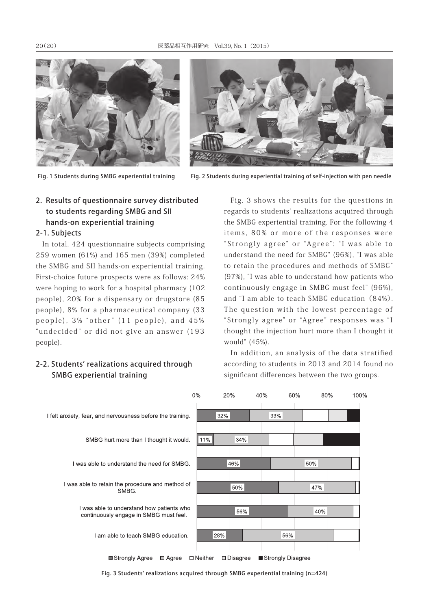



Fig. 1 Students during SMBG experiential training Fig. 2 Students during experiential training of self-injection with pen needle

# 2. Results of questionnaire survey distributed to students regarding SMBG and SII hands-on experiential training

### 2-1. Subjects

In total, 424 questionnaire subjects comprising 259 women (61%) and 165 men (39%) completed the SMBG and SII hands-on experiential training. First-choice future prospects were as follows: 24% were hoping to work for a hospital pharmacy (102 people), 20% for a dispensary or drugstore (85 people), 8% for a pharmaceutical company (33 people), 3% "other" (11 people), and 45% "undecided" or did not give an answer (193 people).

### 2-2. Students' realizations acquired through SMBG experiential training

Fig. 3 shows the results for the questions in regards to students' realizations acquired through the SMBG experiential training. For the following 4 items, 80% or more of the responses were "Strongly agree" or "Agree": "I was able to understand the need for SMBG" (96%), "I was able to retain the procedures and methods of SMBG" (97%), "I was able to understand how patients who continuously engage in SMBG must feel" (96%), and "I am able to teach SMBG education (84%). The question with the lowest percentage of "Strongly agree" or "Agree" responses was "I thought the injection hurt more than I thought it would" (45%).

In addition, an analysis of the data stratified according to students in 2013 and 2014 found no significant differences between the two groups.



Fig. 3 Students' realizations acquired through SMBG experiential training (n=424)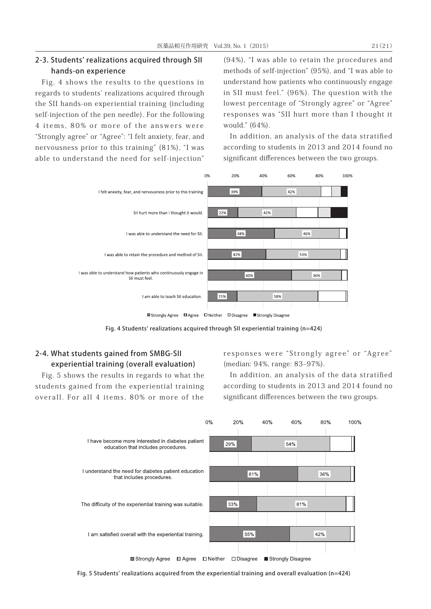### 2-3. Students' realizations acquired through SII hands-on experience

Fig. 4 shows the results to the questions in regards to students' realizations acquired through the SII hands-on experiential training (including self-injection of the pen needle). For the following 4 items, 80% or more of the answers were "Strongly agree" or "Agree": "I felt anxiety, fear, and nervousness prior to this training" (81%), "I was able to understand the need for self-injection"

(94%), "I was able to retain the procedures and methods of self-injection" (95%), and "I was able to understand how patients who continuously engage in SII must feel." (96%). The question with the lowest percentage of "Strongly agree" or "Agree" responses was "SII hurt more than I thought it would." (64%).

In addition, an analysis of the data stratified according to students in 2013 and 2014 found no significant differences between the two groups.



Fig. 4 Students' realizations acquired through SII experiential training (n=424)

# 2-4. What students gained from SMBG-SII experiential training (overall evaluation)

Fig. 5 shows the results in regards to what the students gained from the experiential training overall. For all 4 items, 80% or more of the

responses were "Strongly agree" or "Agree" (median: 94%, range: 83-97%).

In addition, an analysis of the data stratified according to students in 2013 and 2014 found no significant differences between the two groups.



Fig. 5 Students' realizations acquired from the experiential training and overall evaluation (n=424)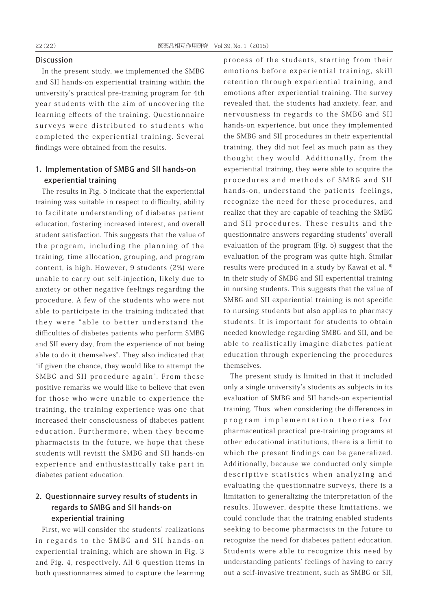### Discussion

In the present study, we implemented the SMBG and SII hands-on experiential training within the university's practical pre-training program for 4th year students with the aim of uncovering the learning effects of the training. Questionnaire surveys were distributed to students who completed the experiential training. Several findings were obtained from the results.

### 1. Implementation of SMBG and SII hands-on experiential training

The results in Fig. 5 indicate that the experiential training was suitable in respect to difficulty, ability to facilitate understanding of diabetes patient education, fostering increased interest, and overall student satisfaction. This suggests that the value of the program, including the planning of the training, time allocation, grouping, and program content, is high. However, 9 students (2%) were unable to carry out self-injection, likely due to anxiety or other negative feelings regarding the procedure. A few of the students who were not able to participate in the training indicated that they were "able to better understand the difficulties of diabetes patients who perform SMBG and SII every day, from the experience of not being able to do it themselves". They also indicated that "if given the chance, they would like to attempt the SMBG and SII procedure again". From these positive remarks we would like to believe that even for those who were unable to experience the training, the training experience was one that increased their consciousness of diabetes patient education. Furthermore, when they become pharmacists in the future, we hope that these students will revisit the SMBG and SII hands-on experience and enthusiastically take part in diabetes patient education.

# 2. Questionnaire survey results of students in regards to SMBG and SII hands-on experiential training

First, we will consider the students' realizations in regards to the SMBG and SII hands-on experiential training, which are shown in Fig. 3 and Fig. 4, respectively. All 6 question items in both questionnaires aimed to capture the learning process of the students, starting from their emotions before experiential training, skill retention through experiential training, and emotions after experiential training. The survey revealed that, the students had anxiety, fear, and nervousness in regards to the SMBG and SII hands-on experience, but once they implemented the SMBG and SII procedures in their experiential training, they did not feel as much pain as they thought they would. Additionally, from the experiential training, they were able to acquire the procedures and methods of SMBG and SII hands-on, understand the patients' feelings, recognize the need for these procedures, and realize that they are capable of teaching the SMBG and SII procedures. These results and the questionnaire answers regarding students' overall evaluation of the program (Fig. 5) suggest that the evaluation of the program was quite high. Similar results were produced in a study by Kawai et al. <sup>6)</sup> in their study of SMBG and SII experiential training in nursing students. This suggests that the value of SMBG and SII experiential training is not specific to nursing students but also applies to pharmacy students. It is important for students to obtain needed knowledge regarding SMBG and SII, and be able to realistically imagine diabetes patient education through experiencing the procedures themselves.

The present study is limited in that it included only a single university's students as subjects in its evaluation of SMBG and SII hands-on experiential training. Thus, when considering the differences in program implementation theories for pharmaceutical practical pre-training programs at other educational institutions, there is a limit to which the present findings can be generalized. Additionally, because we conducted only simple descriptive statistics when analyzing and evaluating the questionnaire surveys, there is a limitation to generalizing the interpretation of the results. However, despite these limitations, we could conclude that the training enabled students seeking to become pharmacists in the future to recognize the need for diabetes patient education. Students were able to recognize this need by understanding patients' feelings of having to carry out a self-invasive treatment, such as SMBG or SII,